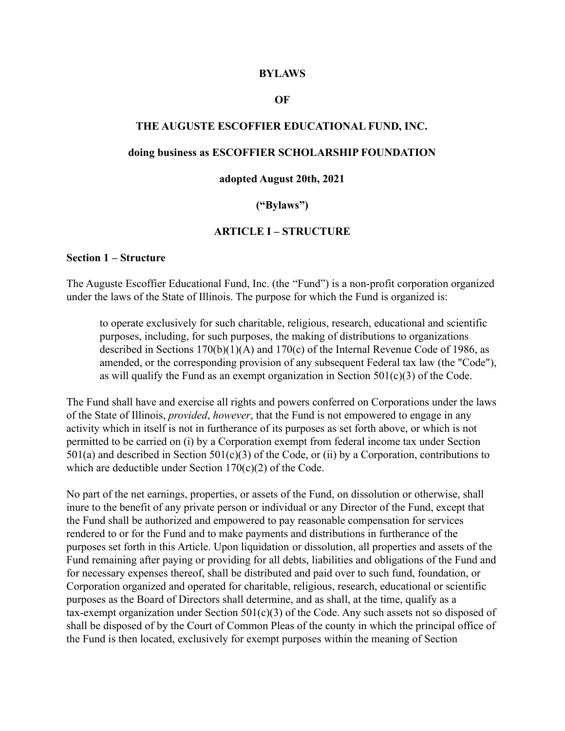#### **BYLAWS**

#### **OF**

#### **THE AUGUSTE ESCOFFIER EDUCATIONAL FUND, INC.**

#### **doing business as ESCOFFIER SCHOLARSHIP FOUNDATION**

#### **adopted August 20th, 2021**

#### **("Bylaws")**

#### **ARTICLE I – STRUCTURE**

#### **Section 1 – Structure**

The Auguste Escoffier Educational Fund, Inc. (the "Fund") is a non-profit corporation organized under the laws of the State of Illinois. The purpose for which the Fund is organized is:

to operate exclusively for such charitable, religious, research, educational and scientific purposes, including, for such purposes, the making of distributions to organizations described in Sections 170(b)(1)(A) and 170(c) of the Internal Revenue Code of 1986, as amended, or the corresponding provision of any subsequent Federal tax law (the "Code"), as will qualify the Fund as an exempt organization in Section  $501(c)(3)$  of the Code.

The Fund shall have and exercise all rights and powers conferred on Corporations under the laws of the State of Illinois, *provided*, *however*, that the Fund is not empowered to engage in any activity which in itself is not in furtherance of its purposes as set forth above, or which is not permitted to be carried on (i) by a Corporation exempt from federal income tax under Section 501(a) and described in Section 501(c)(3) of the Code, or (ii) by a Corporation, contributions to which are deductible under Section 170(c)(2) of the Code.

No part of the net earnings, properties, or assets of the Fund, on dissolution or otherwise, shall inure to the benefit of any private person or individual or any Director of the Fund, except that the Fund shall be authorized and empowered to pay reasonable compensation for services rendered to or for the Fund and to make payments and distributions in furtherance of the purposes set forth in this Article. Upon liquidation or dissolution, all properties and assets of the Fund remaining after paying or providing for all debts, liabilities and obligations of the Fund and for necessary expenses thereof, shall be distributed and paid over to such fund, foundation, or Corporation organized and operated for charitable, religious, research, educational or scientific purposes as the Board of Directors shall determine, and as shall, at the time, qualify as a tax-exempt organization under Section 501(c)(3) of the Code. Any such assets not so disposed of shall be disposed of by the Court of Common Pleas of the county in which the principal office of the Fund is then located, exclusively for exempt purposes within the meaning of Section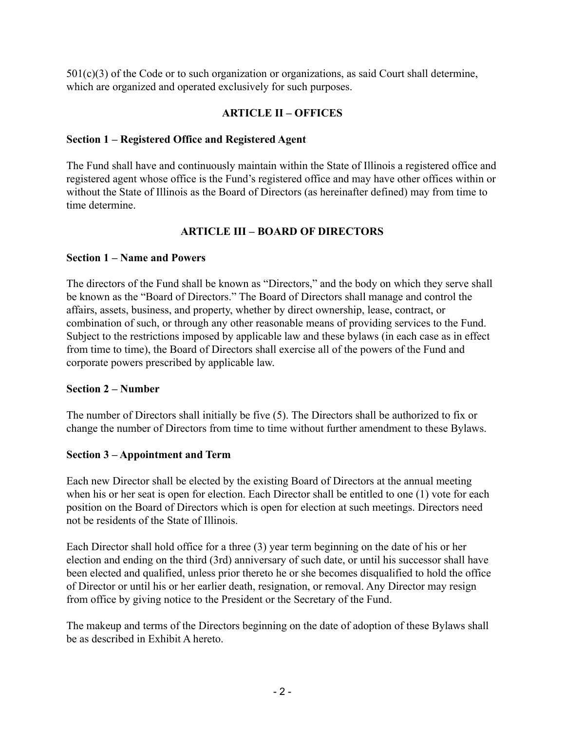$501(c)(3)$  of the Code or to such organization or organizations, as said Court shall determine, which are organized and operated exclusively for such purposes.

## **ARTICLE II – OFFICES**

## **Section 1 – Registered Office and Registered Agent**

The Fund shall have and continuously maintain within the State of Illinois a registered office and registered agent whose office is the Fund's registered office and may have other offices within or without the State of Illinois as the Board of Directors (as hereinafter defined) may from time to time determine.

# **ARTICLE III – BOARD OF DIRECTORS**

## **Section 1 – Name and Powers**

The directors of the Fund shall be known as "Directors," and the body on which they serve shall be known as the "Board of Directors." The Board of Directors shall manage and control the affairs, assets, business, and property, whether by direct ownership, lease, contract, or combination of such, or through any other reasonable means of providing services to the Fund. Subject to the restrictions imposed by applicable law and these bylaws (in each case as in effect from time to time), the Board of Directors shall exercise all of the powers of the Fund and corporate powers prescribed by applicable law.

## **Section 2 – Number**

The number of Directors shall initially be five (5). The Directors shall be authorized to fix or change the number of Directors from time to time without further amendment to these Bylaws.

# **Section 3 – Appointment and Term**

Each new Director shall be elected by the existing Board of Directors at the annual meeting when his or her seat is open for election. Each Director shall be entitled to one (1) vote for each position on the Board of Directors which is open for election at such meetings. Directors need not be residents of the State of Illinois.

Each Director shall hold office for a three (3) year term beginning on the date of his or her election and ending on the third (3rd) anniversary of such date, or until his successor shall have been elected and qualified, unless prior thereto he or she becomes disqualified to hold the office of Director or until his or her earlier death, resignation, or removal. Any Director may resign from office by giving notice to the President or the Secretary of the Fund.

The makeup and terms of the Directors beginning on the date of adoption of these Bylaws shall be as described in Exhibit A hereto.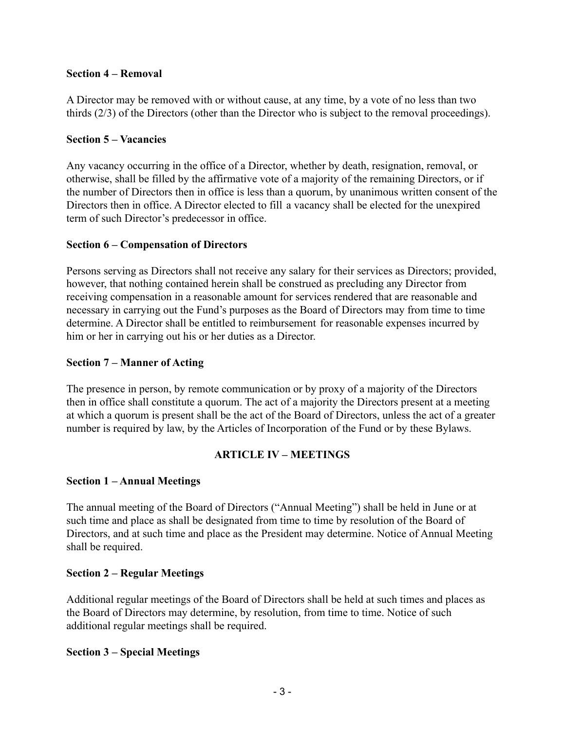#### **Section 4 – Removal**

A Director may be removed with or without cause, at any time, by a vote of no less than two thirds (2/3) of the Directors (other than the Director who is subject to the removal proceedings).

#### **Section 5 – Vacancies**

Any vacancy occurring in the office of a Director, whether by death, resignation, removal, or otherwise, shall be filled by the affirmative vote of a majority of the remaining Directors, or if the number of Directors then in office is less than a quorum, by unanimous written consent of the Directors then in office. A Director elected to fill a vacancy shall be elected for the unexpired term of such Director's predecessor in office.

### **Section 6 – Compensation of Directors**

Persons serving as Directors shall not receive any salary for their services as Directors; provided, however, that nothing contained herein shall be construed as precluding any Director from receiving compensation in a reasonable amount for services rendered that are reasonable and necessary in carrying out the Fund's purposes as the Board of Directors may from time to time determine. A Director shall be entitled to reimbursement for reasonable expenses incurred by him or her in carrying out his or her duties as a Director.

### **Section 7 – Manner of Acting**

The presence in person, by remote communication or by proxy of a majority of the Directors then in office shall constitute a quorum. The act of a majority the Directors present at a meeting at which a quorum is present shall be the act of the Board of Directors, unless the act of a greater number is required by law, by the Articles of Incorporation of the Fund or by these Bylaws.

### **ARTICLE IV – MEETINGS**

### **Section 1 – Annual Meetings**

The annual meeting of the Board of Directors ("Annual Meeting") shall be held in June or at such time and place as shall be designated from time to time by resolution of the Board of Directors, and at such time and place as the President may determine. Notice of Annual Meeting shall be required.

### **Section 2 – Regular Meetings**

Additional regular meetings of the Board of Directors shall be held at such times and places as the Board of Directors may determine, by resolution, from time to time. Notice of such additional regular meetings shall be required.

#### **Section 3 – Special Meetings**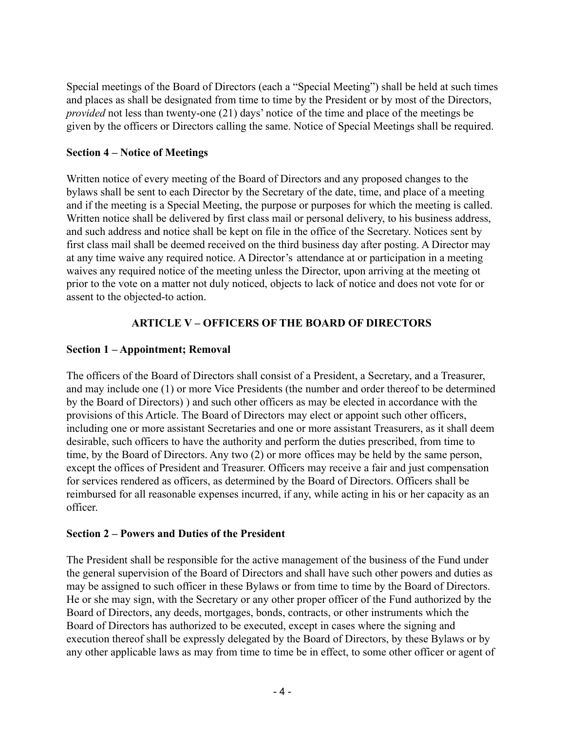Special meetings of the Board of Directors (each a "Special Meeting") shall be held at such times and places as shall be designated from time to time by the President or by most of the Directors, *provided* not less than twenty-one (21) days' notice of the time and place of the meetings be given by the officers or Directors calling the same. Notice of Special Meetings shall be required.

### **Section 4 – Notice of Meetings**

Written notice of every meeting of the Board of Directors and any proposed changes to the bylaws shall be sent to each Director by the Secretary of the date, time, and place of a meeting and if the meeting is a Special Meeting, the purpose or purposes for which the meeting is called. Written notice shall be delivered by first class mail or personal delivery, to his business address, and such address and notice shall be kept on file in the office of the Secretary. Notices sent by first class mail shall be deemed received on the third business day after posting. A Director may at any time waive any required notice. A Director's attendance at or participation in a meeting waives any required notice of the meeting unless the Director, upon arriving at the meeting ot prior to the vote on a matter not duly noticed, objects to lack of notice and does not vote for or assent to the objected-to action.

# **ARTICLE V – OFFICERS OF THE BOARD OF DIRECTORS**

## **Section 1 – Appointment; Removal**

The officers of the Board of Directors shall consist of a President, a Secretary, and a Treasurer, and may include one (1) or more Vice Presidents (the number and order thereof to be determined by the Board of Directors) ) and such other officers as may be elected in accordance with the provisions of this Article. The Board of Directors may elect or appoint such other officers, including one or more assistant Secretaries and one or more assistant Treasurers, as it shall deem desirable, such officers to have the authority and perform the duties prescribed, from time to time, by the Board of Directors. Any two (2) or more offices may be held by the same person, except the offices of President and Treasurer. Officers may receive a fair and just compensation for services rendered as officers, as determined by the Board of Directors. Officers shall be reimbursed for all reasonable expenses incurred, if any, while acting in his or her capacity as an officer.

### **Section 2 – Powers and Duties of the President**

The President shall be responsible for the active management of the business of the Fund under the general supervision of the Board of Directors and shall have such other powers and duties as may be assigned to such officer in these Bylaws or from time to time by the Board of Directors. He or she may sign, with the Secretary or any other proper officer of the Fund authorized by the Board of Directors, any deeds, mortgages, bonds, contracts, or other instruments which the Board of Directors has authorized to be executed, except in cases where the signing and execution thereof shall be expressly delegated by the Board of Directors, by these Bylaws or by any other applicable laws as may from time to time be in effect, to some other officer or agent of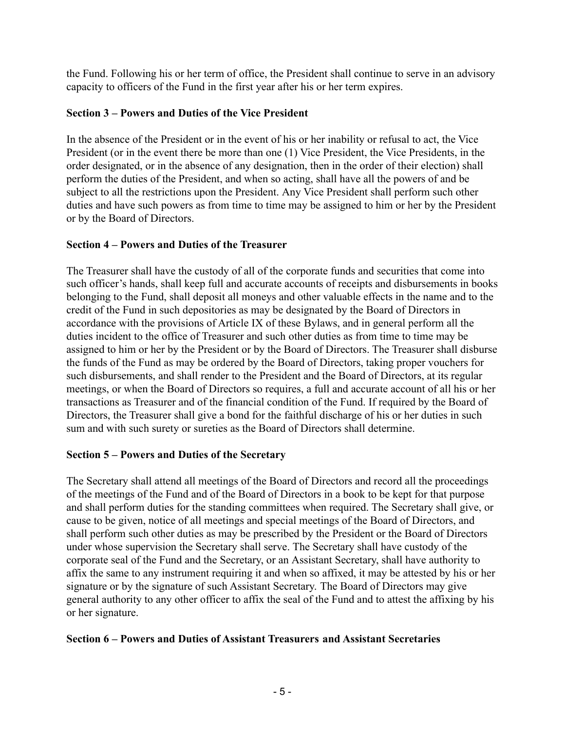the Fund. Following his or her term of office, the President shall continue to serve in an advisory capacity to officers of the Fund in the first year after his or her term expires.

## **Section 3 – Powers and Duties of the Vice President**

In the absence of the President or in the event of his or her inability or refusal to act, the Vice President (or in the event there be more than one (1) Vice President, the Vice Presidents, in the order designated, or in the absence of any designation, then in the order of their election) shall perform the duties of the President, and when so acting, shall have all the powers of and be subject to all the restrictions upon the President. Any Vice President shall perform such other duties and have such powers as from time to time may be assigned to him or her by the President or by the Board of Directors.

### **Section 4 – Powers and Duties of the Treasurer**

The Treasurer shall have the custody of all of the corporate funds and securities that come into such officer's hands, shall keep full and accurate accounts of receipts and disbursements in books belonging to the Fund, shall deposit all moneys and other valuable effects in the name and to the credit of the Fund in such depositories as may be designated by the Board of Directors in accordance with the provisions of Article IX of these Bylaws, and in general perform all the duties incident to the office of Treasurer and such other duties as from time to time may be assigned to him or her by the President or by the Board of Directors. The Treasurer shall disburse the funds of the Fund as may be ordered by the Board of Directors, taking proper vouchers for such disbursements, and shall render to the President and the Board of Directors, at its regular meetings, or when the Board of Directors so requires, a full and accurate account of all his or her transactions as Treasurer and of the financial condition of the Fund. If required by the Board of Directors, the Treasurer shall give a bond for the faithful discharge of his or her duties in such sum and with such surety or sureties as the Board of Directors shall determine.

## **Section 5 – Powers and Duties of the Secretary**

The Secretary shall attend all meetings of the Board of Directors and record all the proceedings of the meetings of the Fund and of the Board of Directors in a book to be kept for that purpose and shall perform duties for the standing committees when required. The Secretary shall give, or cause to be given, notice of all meetings and special meetings of the Board of Directors, and shall perform such other duties as may be prescribed by the President or the Board of Directors under whose supervision the Secretary shall serve. The Secretary shall have custody of the corporate seal of the Fund and the Secretary, or an Assistant Secretary, shall have authority to affix the same to any instrument requiring it and when so affixed, it may be attested by his or her signature or by the signature of such Assistant Secretary. The Board of Directors may give general authority to any other officer to affix the seal of the Fund and to attest the affixing by his or her signature.

### **Section 6 – Powers and Duties of Assistant Treasurers and Assistant Secretaries**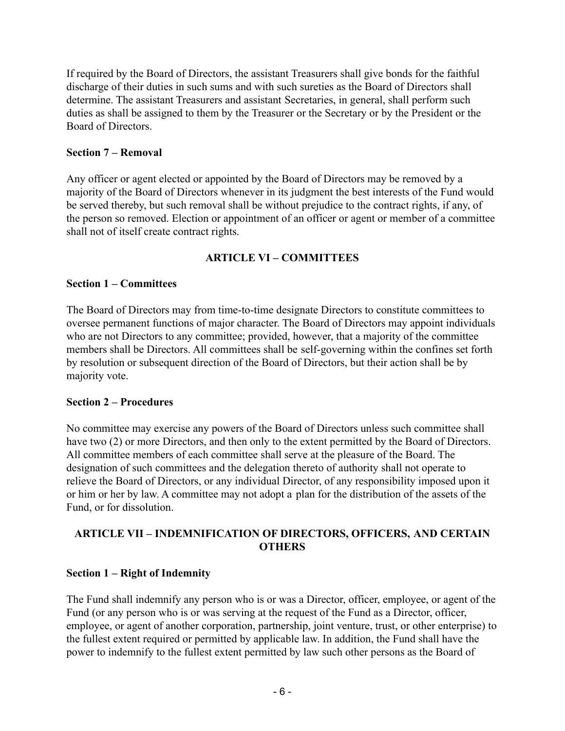If required by the Board of Directors, the assistant Treasurers shall give bonds for the faithful discharge of their duties in such sums and with such sureties as the Board of Directors shall determine. The assistant Treasurers and assistant Secretaries, in general, shall perform such duties as shall be assigned to them by the Treasurer or the Secretary or by the President or the Board of Directors.

### **Section 7 – Removal**

Any officer or agent elected or appointed by the Board of Directors may be removed by a majority of the Board of Directors whenever in its judgment the best interests of the Fund would be served thereby, but such removal shall be without prejudice to the contract rights, if any, of the person so removed. Election or appointment of an officer or agent or member of a committee shall not of itself create contract rights.

## **ARTICLE VI – COMMITTEES**

### **Section 1 – Committees**

The Board of Directors may from time-to-time designate Directors to constitute committees to oversee permanent functions of major character. The Board of Directors may appoint individuals who are not Directors to any committee; provided, however, that a majority of the committee members shall be Directors. All committees shall be self-governing within the confines set forth by resolution or subsequent direction of the Board of Directors, but their action shall be by majority vote.

### **Section 2 – Procedures**

No committee may exercise any powers of the Board of Directors unless such committee shall have two (2) or more Directors, and then only to the extent permitted by the Board of Directors. All committee members of each committee shall serve at the pleasure of the Board. The designation of such committees and the delegation thereto of authority shall not operate to relieve the Board of Directors, or any individual Director, of any responsibility imposed upon it or him or her by law. A committee may not adopt a plan for the distribution of the assets of the Fund, or for dissolution.

## **ARTICLE VII – INDEMNIFICATION OF DIRECTORS, OFFICERS, AND CERTAIN OTHERS**

## **Section 1 – Right of Indemnity**

The Fund shall indemnify any person who is or was a Director, officer, employee, or agent of the Fund (or any person who is or was serving at the request of the Fund as a Director, officer, employee, or agent of another corporation, partnership, joint venture, trust, or other enterprise) to the fullest extent required or permitted by applicable law. In addition, the Fund shall have the power to indemnify to the fullest extent permitted by law such other persons as the Board of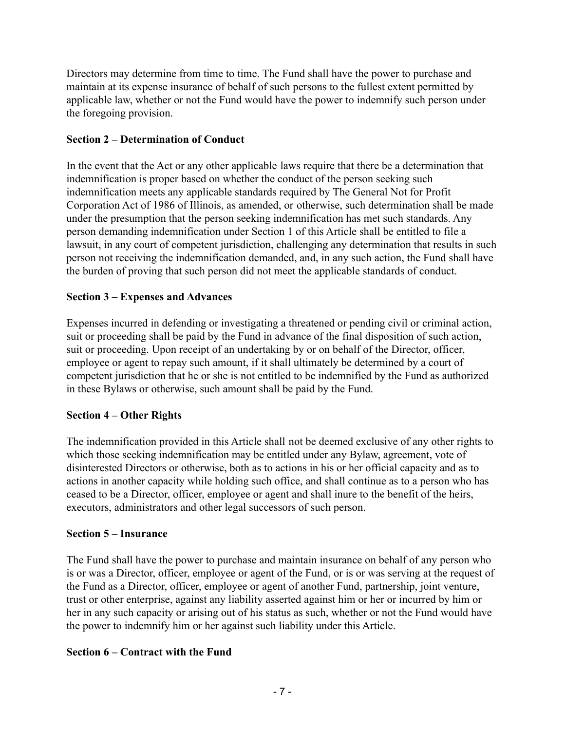Directors may determine from time to time. The Fund shall have the power to purchase and maintain at its expense insurance of behalf of such persons to the fullest extent permitted by applicable law, whether or not the Fund would have the power to indemnify such person under the foregoing provision.

## **Section 2 – Determination of Conduct**

In the event that the Act or any other applicable laws require that there be a determination that indemnification is proper based on whether the conduct of the person seeking such indemnification meets any applicable standards required by The General Not for Profit Corporation Act of 1986 of Illinois, as amended, or otherwise, such determination shall be made under the presumption that the person seeking indemnification has met such standards. Any person demanding indemnification under Section 1 of this Article shall be entitled to file a lawsuit, in any court of competent jurisdiction, challenging any determination that results in such person not receiving the indemnification demanded, and, in any such action, the Fund shall have the burden of proving that such person did not meet the applicable standards of conduct.

# **Section 3 – Expenses and Advances**

Expenses incurred in defending or investigating a threatened or pending civil or criminal action, suit or proceeding shall be paid by the Fund in advance of the final disposition of such action, suit or proceeding. Upon receipt of an undertaking by or on behalf of the Director, officer, employee or agent to repay such amount, if it shall ultimately be determined by a court of competent jurisdiction that he or she is not entitled to be indemnified by the Fund as authorized in these Bylaws or otherwise, such amount shall be paid by the Fund.

## **Section 4 – Other Rights**

The indemnification provided in this Article shall not be deemed exclusive of any other rights to which those seeking indemnification may be entitled under any Bylaw, agreement, vote of disinterested Directors or otherwise, both as to actions in his or her official capacity and as to actions in another capacity while holding such office, and shall continue as to a person who has ceased to be a Director, officer, employee or agent and shall inure to the benefit of the heirs, executors, administrators and other legal successors of such person.

## **Section 5 – Insurance**

The Fund shall have the power to purchase and maintain insurance on behalf of any person who is or was a Director, officer, employee or agent of the Fund, or is or was serving at the request of the Fund as a Director, officer, employee or agent of another Fund, partnership, joint venture, trust or other enterprise, against any liability asserted against him or her or incurred by him or her in any such capacity or arising out of his status as such, whether or not the Fund would have the power to indemnify him or her against such liability under this Article.

# **Section 6 – Contract with the Fund**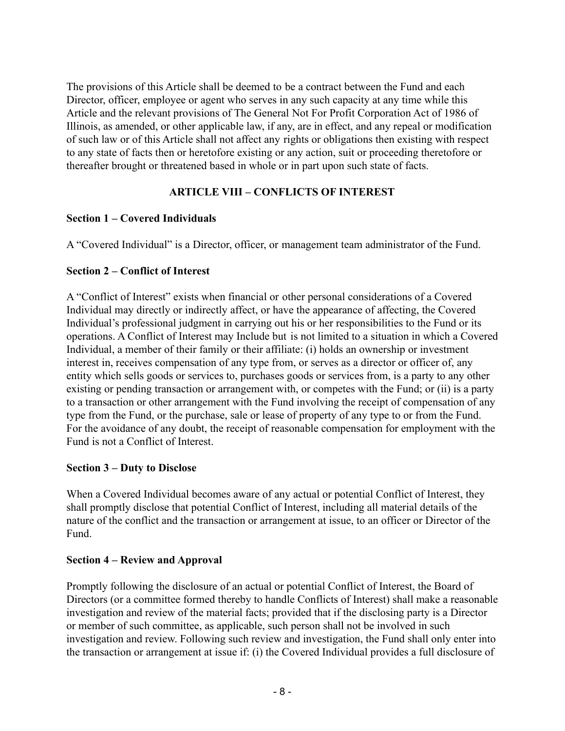The provisions of this Article shall be deemed to be a contract between the Fund and each Director, officer, employee or agent who serves in any such capacity at any time while this Article and the relevant provisions of The General Not For Profit Corporation Act of 1986 of Illinois, as amended, or other applicable law, if any, are in effect, and any repeal or modification of such law or of this Article shall not affect any rights or obligations then existing with respect to any state of facts then or heretofore existing or any action, suit or proceeding theretofore or thereafter brought or threatened based in whole or in part upon such state of facts.

## **ARTICLE VIII – CONFLICTS OF INTEREST**

### **Section 1 – Covered Individuals**

A "Covered Individual" is a Director, officer, or management team administrator of the Fund.

### **Section 2 – Conflict of Interest**

A "Conflict of Interest" exists when financial or other personal considerations of a Covered Individual may directly or indirectly affect, or have the appearance of affecting, the Covered Individual's professional judgment in carrying out his or her responsibilities to the Fund or its operations. A Conflict of Interest may Include but is not limited to a situation in which a Covered Individual, a member of their family or their affiliate: (i) holds an ownership or investment interest in, receives compensation of any type from, or serves as a director or officer of, any entity which sells goods or services to, purchases goods or services from, is a party to any other existing or pending transaction or arrangement with, or competes with the Fund; or (ii) is a party to a transaction or other arrangement with the Fund involving the receipt of compensation of any type from the Fund, or the purchase, sale or lease of property of any type to or from the Fund. For the avoidance of any doubt, the receipt of reasonable compensation for employment with the Fund is not a Conflict of Interest.

### **Section 3 – Duty to Disclose**

When a Covered Individual becomes aware of any actual or potential Conflict of Interest, they shall promptly disclose that potential Conflict of Interest, including all material details of the nature of the conflict and the transaction or arrangement at issue, to an officer or Director of the Fund.

## **Section 4 – Review and Approval**

Promptly following the disclosure of an actual or potential Conflict of Interest, the Board of Directors (or a committee formed thereby to handle Conflicts of Interest) shall make a reasonable investigation and review of the material facts; provided that if the disclosing party is a Director or member of such committee, as applicable, such person shall not be involved in such investigation and review. Following such review and investigation, the Fund shall only enter into the transaction or arrangement at issue if: (i) the Covered Individual provides a full disclosure of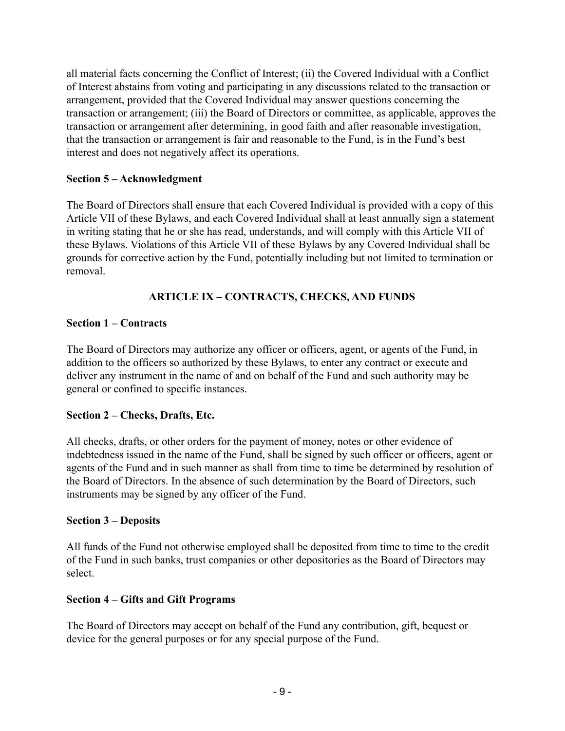all material facts concerning the Conflict of Interest; (ii) the Covered Individual with a Conflict of Interest abstains from voting and participating in any discussions related to the transaction or arrangement, provided that the Covered Individual may answer questions concerning the transaction or arrangement; (iii) the Board of Directors or committee, as applicable, approves the transaction or arrangement after determining, in good faith and after reasonable investigation, that the transaction or arrangement is fair and reasonable to the Fund, is in the Fund's best interest and does not negatively affect its operations.

### **Section 5 – Acknowledgment**

The Board of Directors shall ensure that each Covered Individual is provided with a copy of this Article VII of these Bylaws, and each Covered Individual shall at least annually sign a statement in writing stating that he or she has read, understands, and will comply with this Article VII of these Bylaws. Violations of this Article VII of these Bylaws by any Covered Individual shall be grounds for corrective action by the Fund, potentially including but not limited to termination or removal.

## **ARTICLE IX – CONTRACTS, CHECKS, AND FUNDS**

### **Section 1 – Contracts**

The Board of Directors may authorize any officer or officers, agent, or agents of the Fund, in addition to the officers so authorized by these Bylaws, to enter any contract or execute and deliver any instrument in the name of and on behalf of the Fund and such authority may be general or confined to specific instances.

### **Section 2 – Checks, Drafts, Etc.**

All checks, drafts, or other orders for the payment of money, notes or other evidence of indebtedness issued in the name of the Fund, shall be signed by such officer or officers, agent or agents of the Fund and in such manner as shall from time to time be determined by resolution of the Board of Directors. In the absence of such determination by the Board of Directors, such instruments may be signed by any officer of the Fund.

### **Section 3 – Deposits**

All funds of the Fund not otherwise employed shall be deposited from time to time to the credit of the Fund in such banks, trust companies or other depositories as the Board of Directors may select.

### **Section 4 – Gifts and Gift Programs**

The Board of Directors may accept on behalf of the Fund any contribution, gift, bequest or device for the general purposes or for any special purpose of the Fund.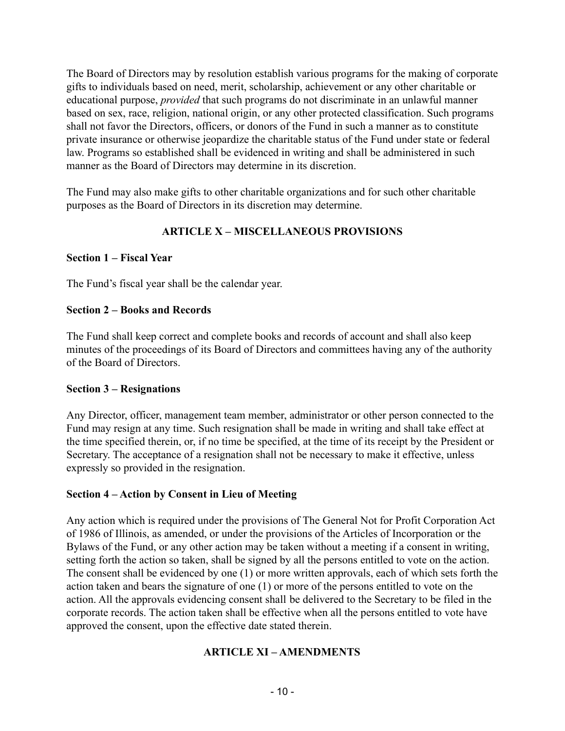The Board of Directors may by resolution establish various programs for the making of corporate gifts to individuals based on need, merit, scholarship, achievement or any other charitable or educational purpose, *provided* that such programs do not discriminate in an unlawful manner based on sex, race, religion, national origin, or any other protected classification. Such programs shall not favor the Directors, officers, or donors of the Fund in such a manner as to constitute private insurance or otherwise jeopardize the charitable status of the Fund under state or federal law. Programs so established shall be evidenced in writing and shall be administered in such manner as the Board of Directors may determine in its discretion.

The Fund may also make gifts to other charitable organizations and for such other charitable purposes as the Board of Directors in its discretion may determine.

# **ARTICLE X – MISCELLANEOUS PROVISIONS**

### **Section 1 – Fiscal Year**

The Fund's fiscal year shall be the calendar year.

### **Section 2 – Books and Records**

The Fund shall keep correct and complete books and records of account and shall also keep minutes of the proceedings of its Board of Directors and committees having any of the authority of the Board of Directors.

### **Section 3 – Resignations**

Any Director, officer, management team member, administrator or other person connected to the Fund may resign at any time. Such resignation shall be made in writing and shall take effect at the time specified therein, or, if no time be specified, at the time of its receipt by the President or Secretary. The acceptance of a resignation shall not be necessary to make it effective, unless expressly so provided in the resignation.

### **Section 4 – Action by Consent in Lieu of Meeting**

Any action which is required under the provisions of The General Not for Profit Corporation Act of 1986 of Illinois, as amended, or under the provisions of the Articles of Incorporation or the Bylaws of the Fund, or any other action may be taken without a meeting if a consent in writing, setting forth the action so taken, shall be signed by all the persons entitled to vote on the action. The consent shall be evidenced by one (1) or more written approvals, each of which sets forth the action taken and bears the signature of one (1) or more of the persons entitled to vote on the action. All the approvals evidencing consent shall be delivered to the Secretary to be filed in the corporate records. The action taken shall be effective when all the persons entitled to vote have approved the consent, upon the effective date stated therein.

## **ARTICLE XI – AMENDMENTS**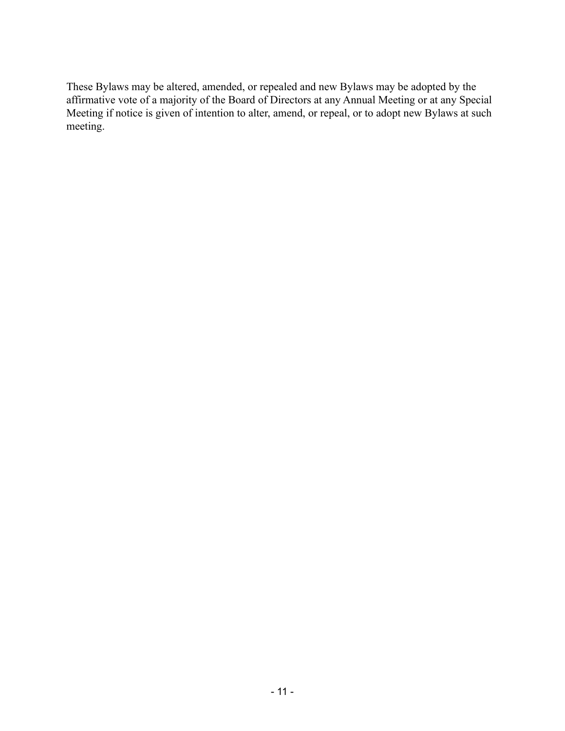These Bylaws may be altered, amended, or repealed and new Bylaws may be adopted by the affirmative vote of a majority of the Board of Directors at any Annual Meeting or at any Special Meeting if notice is given of intention to alter, amend, or repeal, or to adopt new Bylaws at such meeting.